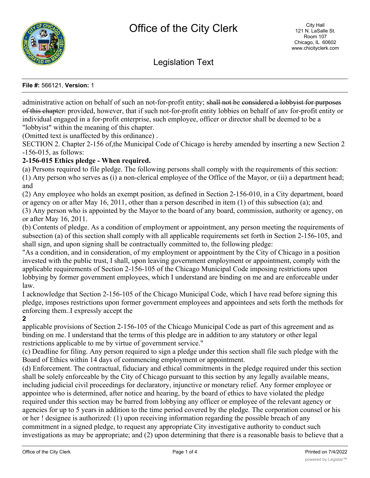

Legislation Text

#### **File #:** 566121, **Version:** 1

administrative action on behalf of such an not-for-profit entity; shall not be considered a lobbyist for purposes of this chapter: provided, however, that if such not-for-profit entity lobbies on behalf of anv for-profit entity or individual engaged in a for-profit enterprise, such employee, officer or director shall be deemed to be a "lobbyist" within the meaning of this chapter.

(Omitted text is unaffected by this ordinance) .

SECTION 2. Chapter 2-156 of,the Municipal Code of Chicago is hereby amended by inserting a new Section 2 -156-015, as follows:

# **2-156-015 Ethics pledge - When required.**

(a) Persons required to file pledge. The following persons shall comply with the requirements of this section: (1) Any person who serves as (i) a non-clerical employee of the Office of the Mayor, or (ii) a department head; and

(2) Any employee who holds an exempt position, as defined in Section 2-156-010, in a City department, board or agency on or after May 16, 2011, other than a person described in item (1) of this subsection (a); and (3) Any person who is appointed by the Mayor to the board of any board, commission, authority or agency, on or after May 16, 2011.

(b) Contents of pledge. As a condition of employment or appointment, any person meeting the requirements of subsection (a) of this section shall comply with all applicable requirements set forth in Section 2-156-105, and shall sign, and upon signing shall be contractually committed to, the following pledge:

"As a condition, and in consideration, of my employment or appointment by the City of Chicago in a position invested with the public trust, I shall, upon leaving government employment or appointment, comply with the applicable requirements of Section 2-156-105 of the Chicago Municipal Code imposing restrictions upon lobbying by former government employees, which I understand are binding on me and are enforceable under law.

I acknowledge that Section 2-156-105 of the Chicago Municipal Code, which I have read before signing this pledge, imposes restrictions upon former government employees and appointees and sets forth the methods for enforcing them..I expressly accept the

**2**

applicable provisions of Section 2-156-105 of the Chicago Municipal Code as part of this agreement and as binding on me. I understand that the terms of this pledge are in addition to any statutory or other legal restrictions applicable to me by virtue of government service."

(c) Deadline for filing. Any person required to sign a pledge under this section shall file such pledge with the Board of Ethics within 14 days of commencing employment or appointment.

(d) Enforcement. The contractual, fiduciary and ethical commitments in the pledge required under this section shall be solely enforceable by the City of Chicago pursuant to this section by any legally available means, including judicial civil proceedings for declaratory, injunctive or monetary relief. Any former employee or appointee who is determined, after notice and hearing, by the board of ethics to have violated the pledge required under this section may be barred from lobbying any officer or employee of the relevant agency or agencies for up to 5 years in addition to the time period covered by the pledge. The corporation counsel or his or her ! designee is authorized: (1) upon receiving information regarding the possible breach of any commitment in a signed pledge, to request any appropriate City investigative authority to conduct such investigations as may be appropriate; and (2) upon determining that there is a reasonable basis to believe that a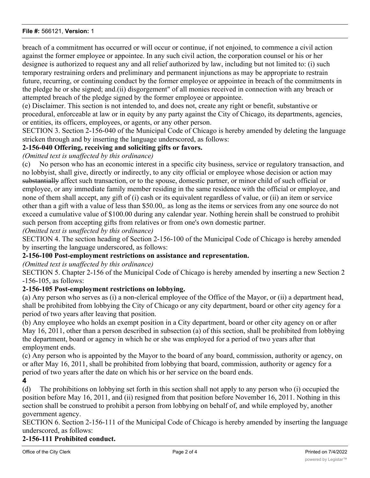#### **File #:** 566121, **Version:** 1

breach of a commitment has occurred or will occur or continue, if not enjoined, to commence a civil action against the former employee or appointee. In any such civil action, the corporation counsel or his or her designee is authorized to request any and all relief authorized by law, including but not limited to: (i) such temporary restraining orders and preliminary and permanent injunctions as may be appropriate to restrain future, recurring, or continuing conduct by the former employee or appointee in breach of the commitments in the pledge he or she signed; and.(ii) disgorgement" of all monies received in connection with any breach or attempted breach of the pledge signed by the former employee or appointee.

(e) Disclaimer. This section is not intended to, and does not, create any right or benefit, substantive or procedural, enforceable at law or in equity by any party against the City of Chicago, its departments, agencies, or entities, its officers, employees, or agents, or any other person.

SECTION 3. Section 2-156-040 of the Municipal Code of Chicago is hereby amended by deleting the language stricken through and by inserting the language underscored, as follows:

## **2-156-040 Offering, receiving and soliciting gifts or favors.**

# *(Omitted text is unaffected by this ordinance)*

(c) No person who has an economic interest in a specific city business, service or regulatory transaction, and no lobbyist, shall give, directly or indirectly, to any city official or employee whose decision or action may substantially affect such transaction, or to the spouse, domestic partner, or minor child of such official or employee, or any immediate family member residing in the same residence with the official or employee, and none of them shall accept, any gift of (i) cash or its equivalent regardless of value, or (ii) an item or service other than a gift with a value of less than \$50.00,. as long as the items or services from any one source do not exceed a cumulative value of \$100.00 during any calendar year. Nothing herein shall be construed to prohibit such person from accepting gifts from relatives or from one's own domestic partner.

*(Omitted text is unaffected by this ordinance)*

SECTION 4. The section heading of Section 2-156-100 of the Municipal Code of Chicago is hereby amended by inserting the language underscored, as follows:

## **2-156-100 Post-employment restrictions on assistance and representation.**

## *(Omitted text is unaffected by this ordinance)*

SECTION 5. Chapter 2-156 of the Municipal Code of Chicago is hereby amended by inserting a new Section 2 -156-105, as follows:

## **2-156-105 Post-employment restrictions on lobbying.**

(a) Any person who serves as (i) a non-clerical employee of the Office of the Mayor, or (ii) a department head, shall be prohibited from lobbying the City of Chicago or any city department, board or other city agency for a period of two years after leaving that position.

(b) Any employee who holds an exempt position in a City department, board or other city agency on or after May 16, 2011, other than a person described in subsection (a) of this section, shall be prohibited from lobbying the department, board or agency in which he or she was employed for a period of two years after that employment ends.

(c) Any person who is appointed by the Mayor to the board of any board, commission, authority or agency, on or after May 16, 2011, shall be prohibited from lobbying that board, commission, authority or agency for a period of two years after the date on which his or her service on the board ends.

**4**

(d) The prohibitions on lobbying set forth in this section shall not apply to any person who (i) occupied the position before May 16, 2011, and (ii) resigned from that position before November 16, 2011. Nothing in this section shall be construed to prohibit a person from lobbying on behalf of, and while employed by, another government agency.

SECTION 6. Section 2-156-111 of the Municipal Code of Chicago is hereby amended by inserting the language underscored, as follows:

## **2-156-111 Prohibited conduct.**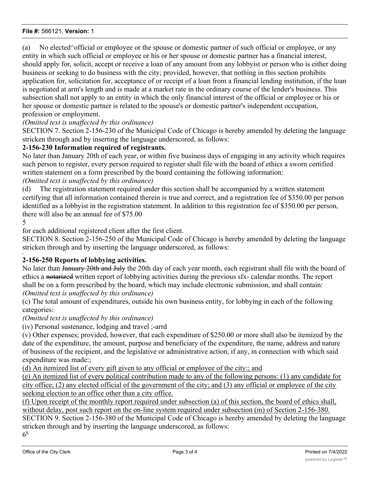#### **File #:** 566121, **Version:** 1

(a) No elected^official or employee or the spouse or domestic partner of such official or employee, or any entity in which such official or employee or his or her spouse or domestic partner has a financial interest, should apply for, solicit, accept or receive a loan of any amount from any lobbyist or person who is either doing business or seeking to do business with the city; provided, however, that nothing in this section prohibits application for, solicitation for, acceptance of or receipt of a loan from a financial lending institution, if the loan is negotiated at arm's length and is made at a market rate in the ordinary course of the lender's business. This subsection shall not apply to an entity in which the only financial interest of the official or employee or his or her spouse or domestic partner is related to the spouse's or domestic partner's independent occupation, profession or employment.

*(Omitted text is unaffected by this ordinance)*

SECTION 7. Section 2-156-230 of the Municipal Code of Chicago is hereby amended by deleting the language stricken through and by inserting the language underscored, as follows:

# **2-156-230 Information required of registrants.**

No later than January 20th of each year, or within five business days of engaging in any activity which requires such person to register, every person required to register shall file with the board of ethics a sworn certified written statement on a form prescribed by the board containing the following information:

*(Omitted text is unaffected by this ordinance)*

(d) The registration statement required under this section shall be accompanied by a written statement certifying that all information contained therein is true and correct, and a registration fee of \$350.00 per person identified as a lobbyist in the registration statement. In addition to this registration fee of \$350.00 per person, there will also be an annual fee of \$75.00

5

i

for each additional registered client after the first client.

SECTION 8. Section 2-156-250 of the Municipal Code of Chicago is hereby amended by deleting the language stricken through and by inserting the language underscored, as follows:

## **2-156-250 Reports of lobbying activities.**

No later than January 20th and July the 20th day of each year month, each registrant shall file with the board of ethics a notarized written report of lobbying activities during the previous sfx- calendar months. The report shall be on a form prescribed by the board, which may include electronic submission, and shall contain: *(Omitted text is unaffected by this ordinance)*

(c) The total amount of expenditures, outside his own business entity, for lobbying in each of the following categories:

*(Omitted text is unaffected by this ordinance)*

(iv) Personal sustenance, lodging and travel ;-arrd

(v) Other expenses; provided, however, that each expenditure of \$250.00 or more shall also be itemized by the date of the expenditure, the amount, purpose and beneficiary of the expenditure, the name, address and nature of business of the recipient, and the legislative or administrative action, if any, in connection with which said expenditure was made:;

(d) An itemized list of every gift given to any official or employee of the city:; and

(e) An itemized list of every political contribution made to any of the following persons: (1) any candidate for city office; (2) any elected official of the government of the city; and (3) any official or employee of the city seeking election to an office other than a city office.

(f) Upon receipt of the monthly report required under subsection (a) of this section, the board of ethics shall, without delay, post such report on the on-line system required under subsection (m) of Section 2-156-380. SECTION 9. Section 2-156-380 of the Municipal Code of Chicago is hereby amended by deleting the language stricken through and by inserting the language underscored, as follows:  $6<sup>S</sup>$